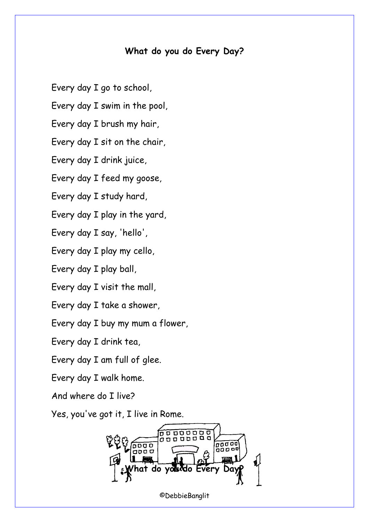## **What do you do Every Day?**

Every day I go to school,

Every day I swim in the pool,

Every day I brush my hair,

Every day I sit on the chair,

Every day I drink juice,

Every day I feed my goose,

Every day I study hard,

Every day I play in the yard,

Every day I say, 'hello',

Every day I play my cello,

Every day I play ball,

Every day I visit the mall,

Every day I take a shower,

Every day I buy my mum a flower,

Every day I drink tea,

Every day I am full of glee.

Every day I walk home.

And where do I live?

Yes, you've got it, I live in Rome.



©DebbieBanglit